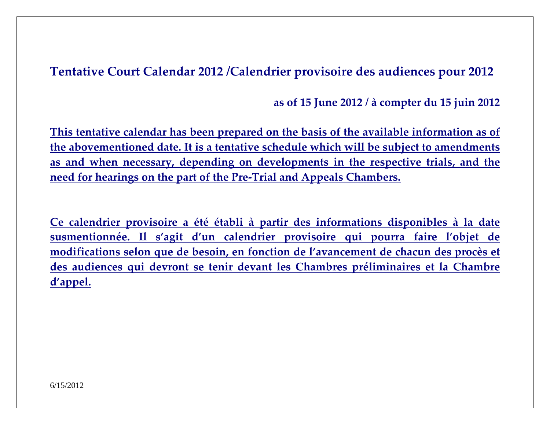**Tentative Court Calendar <sup>2012</sup> /Calendrier provisoire des audiences pour <sup>2012</sup>**

**as of <sup>15</sup> June <sup>2012</sup> / à compter du <sup>15</sup> juin <sup>2012</sup>**

**This tentative calendar has been prepared on the basis of the available information as of the abovementioned date. It is <sup>a</sup> tentative schedule which will be subject to amendments as and when necessary, depending on developments in the respective trials, and the need for hearings on the par<sup>t</sup> of the Pre‐Trial and Appeals Chambers.**

**Ce calendrier provisoire <sup>a</sup> été établi à partir des informations disponibles à la date susmentionnée. Il <sup>s</sup>'agit d'un calendrier provisoire qui pourra faire l'objet de modifications selon que de besoin, en fonction de l'avancement de chacun des procès et des audiences qui devront se tenir devant les Chambres préliminaires et la Chambre d'appel.**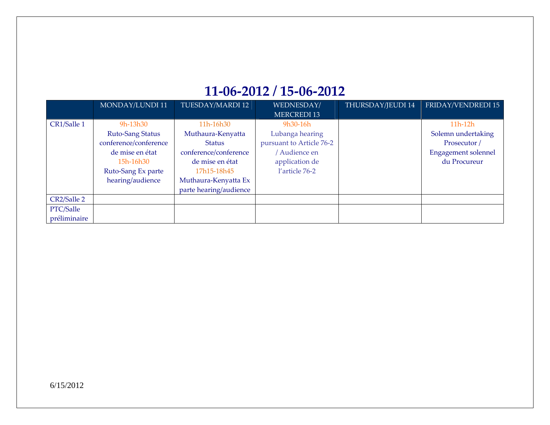#### **11‐06‐2012 / 15‐06‐2012**

|              | MONDAY/LUNDI 11       | TUESDAY/MARDI 12       | WEDNESDAY/               | THURSDAY/JEUDI 14 | FRIDAY/VENDREDI 15         |
|--------------|-----------------------|------------------------|--------------------------|-------------------|----------------------------|
|              |                       |                        | <b>MERCREDI 13</b>       |                   |                            |
| CR1/Salle 1  | 9h-13h30              | 11h-16h30              | $9h30-16h$               |                   | $11h-12h$                  |
|              | Ruto-Sang Status      | Muthaura-Kenyatta      | Lubanga hearing          |                   | Solemn undertaking         |
|              | conference/conference | <b>Status</b>          | pursuant to Article 76-2 |                   | Prosecutor /               |
|              | de mise en état       | conference/conference  | Audience en              |                   | <b>Engagement solennel</b> |
|              | 15h-16h30             | de mise en état        | application de           |                   | du Procureur               |
|              | Ruto-Sang Ex parte    | 17h15-18h45            | l'article 76-2           |                   |                            |
|              | hearing/audience      | Muthaura-Kenyatta Ex   |                          |                   |                            |
|              |                       | parte hearing/audience |                          |                   |                            |
| CR2/Salle 2  |                       |                        |                          |                   |                            |
| PTC/Salle    |                       |                        |                          |                   |                            |
| préliminaire |                       |                        |                          |                   |                            |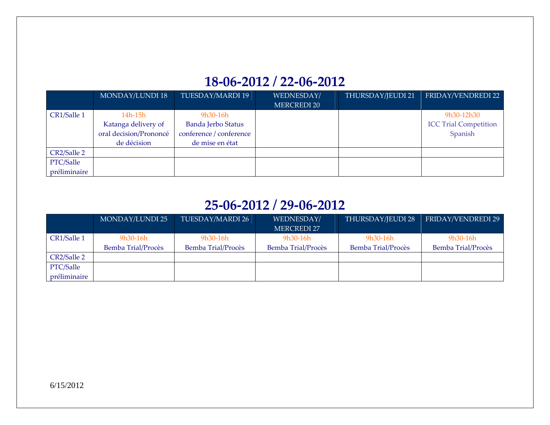# **18‐06‐2012 / 22‐06‐2012**

|              | <b>MONDAY/LUNDI 18</b> | TUESDAY/MARDI 19          | WEDNESDAY/         | THURSDAY/JEUDI 21 | FRIDAY/VENDREDI 22           |
|--------------|------------------------|---------------------------|--------------------|-------------------|------------------------------|
|              |                        |                           | <b>MERCREDI 20</b> |                   |                              |
| CR1/Salle 1  | 14h-15h                | 9h30-16h                  |                    |                   | 9h30-12h30                   |
|              | Katanga delivery of    | <b>Banda Jerbo Status</b> |                    |                   | <b>ICC Trial Competition</b> |
|              | oral decision/Prononcé | conference / conference   |                    |                   | Spanish                      |
|              | de décision            | de mise en état           |                    |                   |                              |
| CR2/Salle 2  |                        |                           |                    |                   |                              |
| PTC/Salle    |                        |                           |                    |                   |                              |
| préliminaire |                        |                           |                    |                   |                              |

### **25‐06‐2012 / 29‐06‐2012**

|              | MONDAY/LUNDI 25    | TUESDAY/MARDI 26   | WEDNESDAY/                | THURSDAY/JEUDI 28  | FRIDAY/VENDREDI 29        |
|--------------|--------------------|--------------------|---------------------------|--------------------|---------------------------|
|              |                    |                    | <b>MERCREDI 27</b>        |                    |                           |
| CR1/Salle 1  | $9h30-16h$         | $9h30-16h$         | $9h30-16h$                | 9h30-16h           | 9h30-16h                  |
|              | Bemba Trial/Procès | Bemba Trial/Procès | <b>Bemba Trial/Procès</b> | Bemba Trial/Procès | <b>Bemba Trial/Procès</b> |
| CR2/Salle 2  |                    |                    |                           |                    |                           |
| PTC/Salle    |                    |                    |                           |                    |                           |
| préliminaire |                    |                    |                           |                    |                           |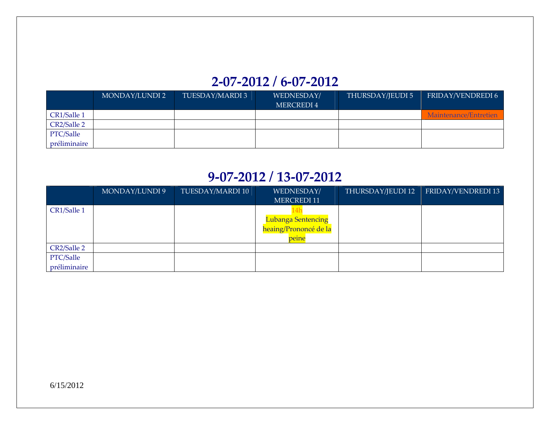# **2‐07‐2012 / 6‐07‐2012**

|              | MONDAY/LUNDI 2 | TUESDAY/MARDI 3 | WEDNESDAY/ | THURSDAY/JEUDI 5 | FRIDAY/VENDREDI 6     |
|--------------|----------------|-----------------|------------|------------------|-----------------------|
|              |                |                 | MERCREDI 4 |                  |                       |
| CR1/Salle 1  |                |                 |            |                  | Maintenance/Entretien |
| CR2/Salle 2  |                |                 |            |                  |                       |
| PTC/Salle    |                |                 |            |                  |                       |
| préliminaire |                |                 |            |                  |                       |

#### **9‐07‐2012 / 13‐07‐2012**

|              | MONDAY/LUNDI 9 | TUESDAY/MARDI 10 | WEDNESDAY/                | THURSDAY/JEUDI 12 | FRIDAY/VENDREDI 13 |
|--------------|----------------|------------------|---------------------------|-------------------|--------------------|
|              |                |                  | MERCREDI 11               |                   |                    |
| CR1/Salle 1  |                |                  |                           |                   |                    |
|              |                |                  | <b>Lubanga Sentencing</b> |                   |                    |
|              |                |                  | heaing/Prononcé de la     |                   |                    |
|              |                |                  | peine                     |                   |                    |
| CR2/Salle 2  |                |                  |                           |                   |                    |
| PTC/Salle    |                |                  |                           |                   |                    |
| préliminaire |                |                  |                           |                   |                    |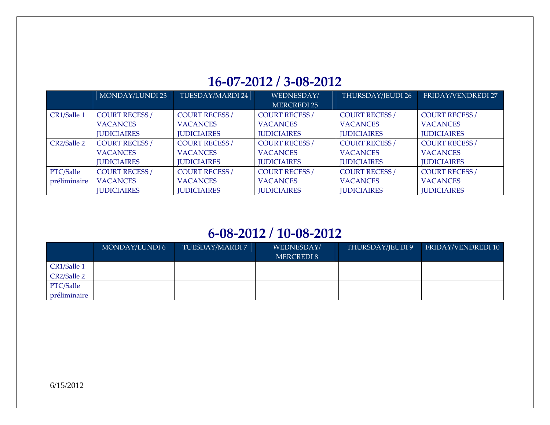### **16‐07‐2012 / 3‐08‐2012**

|              | MONDAY/LUNDI 23       | TUESDAY/MARDI 24      | WEDNESDAY/            | THURSDAY/JEUDI 26     | FRIDAY/VENDREDI 27    |
|--------------|-----------------------|-----------------------|-----------------------|-----------------------|-----------------------|
|              |                       |                       | <b>MERCREDI 25</b>    |                       |                       |
| CR1/Salle 1  | <b>COURT RECESS /</b> | <b>COURT RECESS /</b> | <b>COURT RECESS /</b> | <b>COURT RECESS /</b> | <b>COURT RECESS /</b> |
|              | <b>VACANCES</b>       | <b>VACANCES</b>       | <b>VACANCES</b>       | <b>VACANCES</b>       | <b>VACANCES</b>       |
|              | <b>JUDICIAIRES</b>    | <b>IUDICIAIRES</b>    | <b>IUDICIAIRES</b>    | <b>JUDICIAIRES</b>    | <b>IUDICIAIRES</b>    |
| CR2/Salle 2  | <b>COURT RECESS /</b> | <b>COURT RECESS /</b> | <b>COURT RECESS /</b> | <b>COURT RECESS /</b> | <b>COURT RECESS /</b> |
|              | <b>VACANCES</b>       | <b>VACANCES</b>       | <b>VACANCES</b>       | <b>VACANCES</b>       | <b>VACANCES</b>       |
|              | <b>JUDICIAIRES</b>    | <b>JUDICIAIRES</b>    | <b>IUDICIAIRES</b>    | <b>JUDICIAIRES</b>    | <b>JUDICIAIRES</b>    |
| PTC/Salle    | <b>COURT RECESS /</b> | <b>COURT RECESS /</b> | <b>COURT RECESS /</b> | <b>COURT RECESS /</b> | <b>COURT RECESS /</b> |
| préliminaire | <b>VACANCES</b>       | <b>VACANCES</b>       | <b>VACANCES</b>       | <b>VACANCES</b>       | <b>VACANCES</b>       |
|              | <b>IUDICIAIRES</b>    | <b>IUDICIAIRES</b>    | <b>IUDICIAIRES</b>    | <b>JUDICIAIRES</b>    | <b>JUDICIAIRES</b>    |

#### **6‐08‐2012 / 10‐08‐2012**

|              | MONDAY/LUNDI 6 | TUESDAY/MARDI 7 | WEDNESDAY/<br><b>MERCREDI 8</b> | THURSDAY/JEUDI 9 | <b>FRIDAY/VENDREDI 10</b> |
|--------------|----------------|-----------------|---------------------------------|------------------|---------------------------|
| CR1/Salle 1  |                |                 |                                 |                  |                           |
| CR2/Salle 2  |                |                 |                                 |                  |                           |
| PTC/Salle    |                |                 |                                 |                  |                           |
| préliminaire |                |                 |                                 |                  |                           |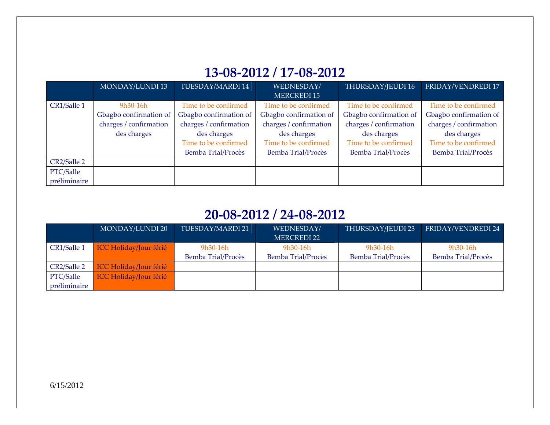# **13‐08‐2012 / 17‐08‐2012**

|              | MONDAY/LUNDI 13        | TUESDAY/MARDI 14       | WEDNESDAY/                | THURSDAY/JEUDI 16         | FRIDAY/VENDREDI 17     |
|--------------|------------------------|------------------------|---------------------------|---------------------------|------------------------|
|              |                        |                        | <b>MERCREDI 15</b>        |                           |                        |
| CR1/Salle 1  | 9h30-16h               | Time to be confirmed   | Time to be confirmed      | Time to be confirmed      | Time to be confirmed   |
|              | Gbagbo confirmation of | Gbagbo confirmation of | Gbagbo confirmation of    | Gbagbo confirmation of    | Gbagbo confirmation of |
|              | charges / confirmation | charges / confirmation | charges / confirmation    | charges / confirmation    | charges / confirmation |
|              | des charges            | des charges            | des charges               | des charges               | des charges            |
|              |                        | Time to be confirmed   | Time to be confirmed      | Time to be confirmed      | Time to be confirmed   |
|              |                        | Bemba Trial/Procès     | <b>Bemba Trial/Procès</b> | <b>Bemba Trial/Procès</b> | Bemba Trial/Procès     |
| CR2/Salle 2  |                        |                        |                           |                           |                        |
| PTC/Salle    |                        |                        |                           |                           |                        |
| préliminaire |                        |                        |                           |                           |                        |

#### **20‐08‐2012 / 24‐08‐2012**

|              | MONDAY/LUNDI 20               | TUESDAY/MARDI 21   | WEDNESDAY/                | THURSDAY/JEUDI 23  | FRIDAY/VENDREDI 24 |
|--------------|-------------------------------|--------------------|---------------------------|--------------------|--------------------|
|              |                               |                    | <b>MERCREDI 22</b>        |                    |                    |
| CR1/Salle 1  | ICC Holiday/Jour férié        | $9h30-16h$         | $9h30-16h$                | $9h30-16h$         | $9h30-16h$         |
|              |                               | Bemba Trial/Procès | <b>Bemba Trial/Procès</b> | Bemba Trial/Procès | Bemba Trial/Procès |
| CR2/Salle 2  | <b>ICC Holiday/Jour férié</b> |                    |                           |                    |                    |
| PTC/Salle    | <b>ICC Holiday/Jour férié</b> |                    |                           |                    |                    |
| préliminaire |                               |                    |                           |                    |                    |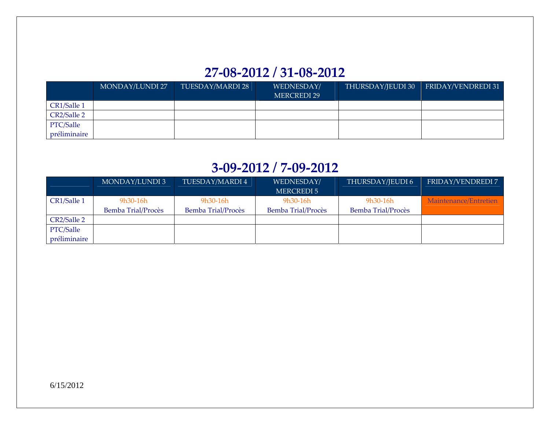## **27‐08‐2012 / 31‐08‐2012**

|              | MONDAY/LUNDI 27 | TUESDAY/MARDI 28 | WEDNESDAY/<br><b>MERCREDI 29</b> | THURSDAY/JEUDI 30 | FRIDAY/VENDREDI 31 |
|--------------|-----------------|------------------|----------------------------------|-------------------|--------------------|
| CR1/Salle 1  |                 |                  |                                  |                   |                    |
| CR2/Salle 2  |                 |                  |                                  |                   |                    |
| PTC/Salle    |                 |                  |                                  |                   |                    |
| préliminaire |                 |                  |                                  |                   |                    |

#### **3‐09‐2012 / 7‐09‐2012**

|              | MONDAY/LUNDI 3     | TUESDAY/MARDI 4    | WEDNESDAY/<br>MERCREDI 5 | THURSDAY/JEUDI 6   | FRIDAY/VENDREDI 7     |
|--------------|--------------------|--------------------|--------------------------|--------------------|-----------------------|
| CR1/Salle 1  | 9h30-16h           | $9h30-16h$         | $9h30-16h$               | 9h30-16h           | Maintenance/Entretien |
|              | Bemba Trial/Procès | Bemba Trial/Procès | Bemba Trial/Procès       | Bemba Trial/Procès |                       |
| CR2/Salle 2  |                    |                    |                          |                    |                       |
| PTC/Salle    |                    |                    |                          |                    |                       |
| préliminaire |                    |                    |                          |                    |                       |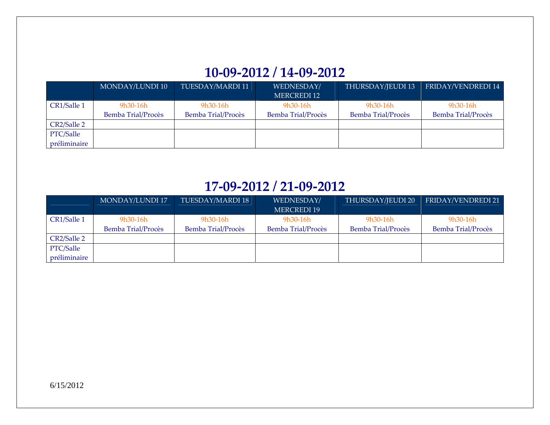# **10‐09‐2012 / 14‐09‐2012**

|              | MONDAY/LUNDI 10    | TUESDAY/MARDI 11   | WEDNESDAY/         | THURSDAY/JEUDI 13  | FRIDAY/VENDREDI 14 |
|--------------|--------------------|--------------------|--------------------|--------------------|--------------------|
|              |                    |                    | MERCREDI 12        |                    |                    |
| CR1/Salle 1  | $9h30-16h$         | $9h30-16h$         | $9h30-16h$         | 9h30-16h           | $9h30-16h$         |
|              | Bemba Trial/Procès | Bemba Trial/Procès | Bemba Trial/Procès | Bemba Trial/Procès | Bemba Trial/Procès |
| CR2/Salle 2  |                    |                    |                    |                    |                    |
| PTC/Salle    |                    |                    |                    |                    |                    |
| préliminaire |                    |                    |                    |                    |                    |

#### **17‐09‐2012 / 21‐09‐2012**

|              | MONDAY/LUNDI 17    | TUESDAY/MARDI 18   | WEDNESDAY/<br><b>MERCREDI 19</b> | THURSDAY/JEUDI 20  | FRIDAY/VENDREDI 21 |
|--------------|--------------------|--------------------|----------------------------------|--------------------|--------------------|
| CR1/Salle 1  | 9h30-16h           | 9h30-16h           | $9h30-16h$                       | 9h30-16h           | 9h30-16h           |
|              | Bemba Trial/Procès | Bemba Trial/Procès | Bemba Trial/Procès               | Bemba Trial/Procès | Bemba Trial/Procès |
| CR2/Salle 2  |                    |                    |                                  |                    |                    |
| PTC/Salle    |                    |                    |                                  |                    |                    |
| préliminaire |                    |                    |                                  |                    |                    |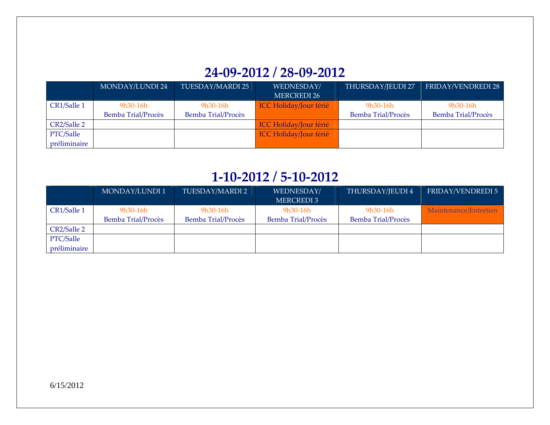# **24‐09‐2012 / 28‐09‐2012**

|              | <b>MONDAY/LUNDI 24</b> | TUESDAY/MARDI 25   | WEDNESDAY/                    | THURSDAY/JEUDI 27  | <b>FRIDAY/VENDREDI 28</b> |
|--------------|------------------------|--------------------|-------------------------------|--------------------|---------------------------|
|              |                        |                    | <b>MERCREDI 26</b>            |                    |                           |
| CR1/Salle 1  | 9h30-16h               | 9h30-16h           | <b>ICC Holiday/Jour férié</b> | 9h30-16h           | 9h30-16h                  |
|              | Bemba Trial/Procès     | Bemba Trial/Procès |                               | Bemba Trial/Procès | Bemba Trial/Procès        |
| CR2/Salle 2  |                        |                    | <b>ICC Holiday/Jour férié</b> |                    |                           |
| PTC/Salle    |                        |                    | <b>ICC Holiday/Jour férié</b> |                    |                           |
| préliminaire |                        |                    |                               |                    |                           |

#### **1‐10‐2012 / 5‐10‐2012**

|              | MONDAY/LUNDI 1     | TUESDAY/MARDI 2    | WEDNESDAY/         | THURSDAY/JEUDI 4   | FRIDAY/VENDREDI 5     |
|--------------|--------------------|--------------------|--------------------|--------------------|-----------------------|
|              |                    |                    | MERCREDI 3         |                    |                       |
| CR1/Salle 1  | $9h30-16h$         | $9h30-16h$         | $9h30-16h$         | $9h30-16h$         | Maintenance/Entretien |
|              | Bemba Trial/Procès | Bemba Trial/Procès | Bemba Trial/Procès | Bemba Trial/Procès |                       |
| CR2/Salle 2  |                    |                    |                    |                    |                       |
| PTC/Salle    |                    |                    |                    |                    |                       |
| préliminaire |                    |                    |                    |                    |                       |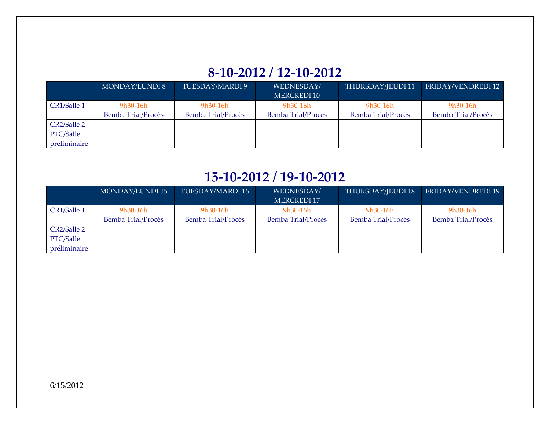# **8‐10‐2012 / 12‐10‐2012**

|              | <b>MONDAY/LUNDI 8</b> | TUESDAY/MARDI 9    | WEDNESDAY/         | THURSDAY/JEUDI 11  | FRIDAY/VENDREDI 12 |
|--------------|-----------------------|--------------------|--------------------|--------------------|--------------------|
|              |                       |                    | MERCREDI 10        |                    |                    |
| CR1/Salle 1  | $9h30-16h$            | $9h30-16h$         | $9h30-16h$         | $9h30-16h$         | $9h30-16h$         |
|              | Bemba Trial/Procès    | Bemba Trial/Procès | Bemba Trial/Procès | Bemba Trial/Procès | Bemba Trial/Procès |
| CR2/Salle 2  |                       |                    |                    |                    |                    |
| PTC/Salle    |                       |                    |                    |                    |                    |
| préliminaire |                       |                    |                    |                    |                    |

## **15‐10‐2012 / 19‐10‐2012**

|              | <b>MONDAY/LUNDI 15</b> | TUESDAY/MARDI 16   | WEDNESDAY/                | THURSDAY/JEUDI 18  | FRIDAY/VENDREDI 19        |
|--------------|------------------------|--------------------|---------------------------|--------------------|---------------------------|
|              |                        |                    | <b>MERCREDI 17</b>        |                    |                           |
| CR1/Salle 1  | $9h30-16h$             | $9h30-16h$         | $9h30-16h$                | 9h30-16h           | $9h30-16h$                |
|              | Bemba Trial/Procès     | Bemba Trial/Procès | <b>Bemba Trial/Procès</b> | Bemba Trial/Procès | <b>Bemba Trial/Procès</b> |
| CR2/Salle 2  |                        |                    |                           |                    |                           |
| PTC/Salle    |                        |                    |                           |                    |                           |
| préliminaire |                        |                    |                           |                    |                           |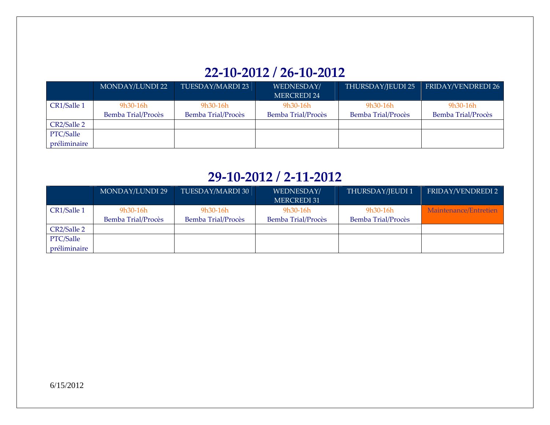# **22‐10‐2012 / 26‐10‐2012**

|              | MONDAY/LUNDI 22    | TUESDAY/MARDI 23   | WEDNESDAY/         | THURSDAY/JEUDI 25  | FRIDAY/VENDREDI 26 |
|--------------|--------------------|--------------------|--------------------|--------------------|--------------------|
|              |                    |                    | <b>MERCREDI 24</b> |                    |                    |
| CR1/Salle 1  | 9h30-16h           | $9h30-16h$         | $9h30-16h$         | 9h30-16h           | $9h30-16h$         |
|              | Bemba Trial/Procès | Bemba Trial/Procès | Bemba Trial/Procès | Bemba Trial/Procès | Bemba Trial/Procès |
| CR2/Salle 2  |                    |                    |                    |                    |                    |
| PTC/Salle    |                    |                    |                    |                    |                    |
| préliminaire |                    |                    |                    |                    |                    |

#### **29‐10‐2012 / 2‐11‐2012**

|              | MONDAY/LUNDI 29    | TUESDAY/MARDI 30   | WEDNESDAY/<br><b>MERCREDI 31</b> | THURSDAY/JEUDI 1   | FRIDAY/VENDREDI 2     |
|--------------|--------------------|--------------------|----------------------------------|--------------------|-----------------------|
|              |                    |                    |                                  |                    |                       |
| CR1/Salle 1  | $9h30-16h$         | $9h30-16h$         | $9h30-16h$                       | 9h30-16h           | Maintenance/Entretien |
|              | Bemba Trial/Procès | Bemba Trial/Procès | Bemba Trial/Procès               | Bemba Trial/Procès |                       |
| CR2/Salle 2  |                    |                    |                                  |                    |                       |
| PTC/Salle    |                    |                    |                                  |                    |                       |
| préliminaire |                    |                    |                                  |                    |                       |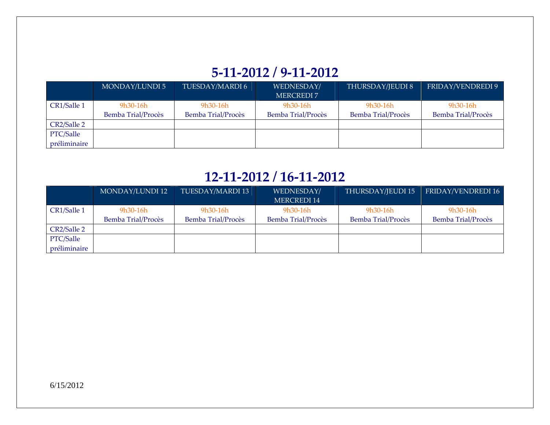# **5‐11‐2012 / 9‐11‐2012**

|              | MONDAY/LUNDI 5     | TUESDAY/MARDI 6    | WEDNESDAY/         | THURSDAY/JEUDI 8   | FRIDAY/VENDREDI 9  |
|--------------|--------------------|--------------------|--------------------|--------------------|--------------------|
|              |                    |                    | MERCREDI 7         |                    |                    |
| CR1/Salle 1  | 9h30-16h           | $9h30-16h$         | $9h30-16h$         | $9h30-16h$         | $9h30-16h$         |
|              | Bemba Trial/Procès | Bemba Trial/Procès | Bemba Trial/Procès | Bemba Trial/Procès | Bemba Trial/Procès |
| CR2/Salle 2  |                    |                    |                    |                    |                    |
| PTC/Salle    |                    |                    |                    |                    |                    |
| préliminaire |                    |                    |                    |                    |                    |

## **12‐11‐2012 / 16‐11‐2012**

|              | MONDAY/LUNDI 12    | TUESDAY/MARDI 13   | WEDNESDAY/         | THURSDAY/JEUDI 15  | <b>FRIDAY/VENDREDI 16</b> |
|--------------|--------------------|--------------------|--------------------|--------------------|---------------------------|
|              |                    |                    | <b>MERCREDI 14</b> |                    |                           |
| CR1/Salle 1  | $9h30-16h$         | $9h30-16h$         | $9h30-16h$         | 9h30-16h           | 9h30-16h                  |
|              | Bemba Trial/Procès | Bemba Trial/Procès | Bemba Trial/Procès | Bemba Trial/Procès | Bemba Trial/Procès        |
| CR2/Salle 2  |                    |                    |                    |                    |                           |
| PTC/Salle    |                    |                    |                    |                    |                           |
| préliminaire |                    |                    |                    |                    |                           |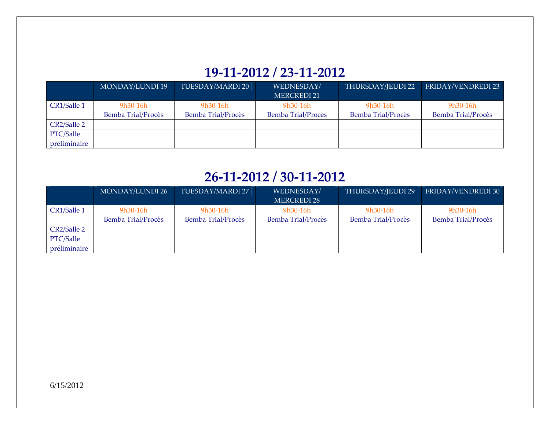# **19‐11‐2012 / 23‐11‐2012**

|              | MONDAY/LUNDI 19    | TUESDAY/MARDI 20   | WEDNESDAY/         | THURSDAY/JEUDI 22  | FRIDAY/VENDREDI 23 |
|--------------|--------------------|--------------------|--------------------|--------------------|--------------------|
|              |                    |                    | <b>MERCREDI 21</b> |                    |                    |
| CR1/Salle 1  | $9h30-16h$         | $9h30-16h$         | $9h30-16h$         | $9h30-16h$         | $9h30-16h$         |
|              | Bemba Trial/Procès | Bemba Trial/Procès | Bemba Trial/Procès | Bemba Trial/Procès | Bemba Trial/Procès |
| CR2/Salle 2  |                    |                    |                    |                    |                    |
| PTC/Salle    |                    |                    |                    |                    |                    |
| préliminaire |                    |                    |                    |                    |                    |

### **26‐11‐2012 / 30‐11‐2012**

|              | MONDAY/LUNDI 26    | TUESDAY/MARDI 27   | WEDNESDAY/                | THURSDAY/JEUDI 29  | FRIDAY/VENDREDI 30        |
|--------------|--------------------|--------------------|---------------------------|--------------------|---------------------------|
|              |                    |                    | <b>MERCREDI 28</b>        |                    |                           |
| CR1/Salle 1  | $9h30-16h$         | $9h30-16h$         | $9h30-16h$                | 9h30-16h           | $9h30-16h$                |
|              | Bemba Trial/Procès | Bemba Trial/Procès | <b>Bemba Trial/Procès</b> | Bemba Trial/Procès | <b>Bemba Trial/Procès</b> |
| CR2/Salle 2  |                    |                    |                           |                    |                           |
| PTC/Salle    |                    |                    |                           |                    |                           |
| préliminaire |                    |                    |                           |                    |                           |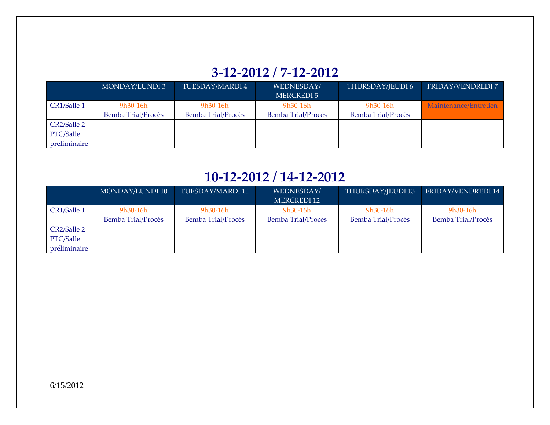# **3‐12‐2012 / 7‐12‐2012**

|              | MONDAY/LUNDI 3     | TUESDAY/MARDI 4    | WEDNESDAY/         | THURSDAY/JEUDI 6   | FRIDAY/VENDREDI 7     |
|--------------|--------------------|--------------------|--------------------|--------------------|-----------------------|
|              |                    |                    | MERCREDI 5         |                    |                       |
| CR1/Salle 1  | 9h30-16h           | 9h30-16h           | $9h30-16h$         | $9h30-16h$         | Maintenance/Entretien |
|              | Bemba Trial/Procès | Bemba Trial/Procès | Bemba Trial/Procès | Bemba Trial/Procès |                       |
| CR2/Salle 2  |                    |                    |                    |                    |                       |
| PTC/Salle    |                    |                    |                    |                    |                       |
| préliminaire |                    |                    |                    |                    |                       |

#### **10‐12‐2012 / 14‐12‐2012**

|              | MONDAY/LUNDI 10    | TUESDAY/MARDI 11   | WEDNESDAY/                | THURSDAY/JEUDI 13  | FRIDAY/VENDREDI 14        |
|--------------|--------------------|--------------------|---------------------------|--------------------|---------------------------|
|              |                    |                    | MERCREDI 12               |                    |                           |
| CR1/Salle 1  | $9h30-16h$         | $9h30-16h$         | $9h30-16h$                | 9h30-16h           | $9h30-16h$                |
|              | Bemba Trial/Procès | Bemba Trial/Procès | <b>Bemba Trial/Procès</b> | Bemba Trial/Procès | <b>Bemba Trial/Procès</b> |
| CR2/Salle 2  |                    |                    |                           |                    |                           |
| PTC/Salle    |                    |                    |                           |                    |                           |
| préliminaire |                    |                    |                           |                    |                           |